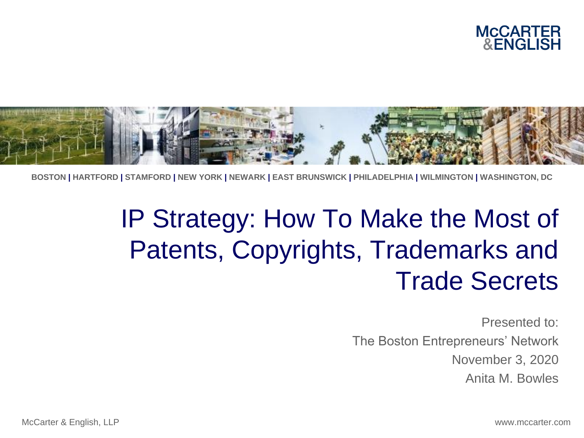



**BOSTON | HARTFORD | STAMFORD | NEW YORK | NEWARK | EAST BRUNSWICK | PHILADELPHIA | WILMINGTON | WASHINGTON, DC**

#### IP Strategy: How To Make the Most of Patents, Copyrights, Trademarks and Trade Secrets

Presented to: The Boston Entrepreneurs' Network November 3, 2020 Anita M. Bowles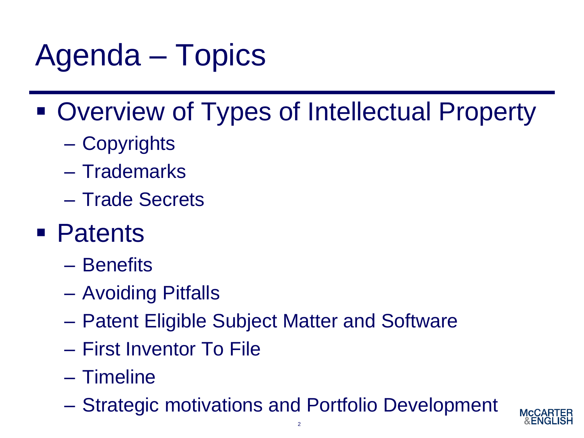# Agenda – Topics

- Overview of Types of Intellectual Property
	- Copyrights
	- Trademarks
	- Trade Secrets
- Patents
	- Benefits
	- Avoiding Pitfalls
	- Patent Eligible Subject Matter and Software
	- First Inventor To File
	- Timeline
	- Strategic motivations and Portfolio Development

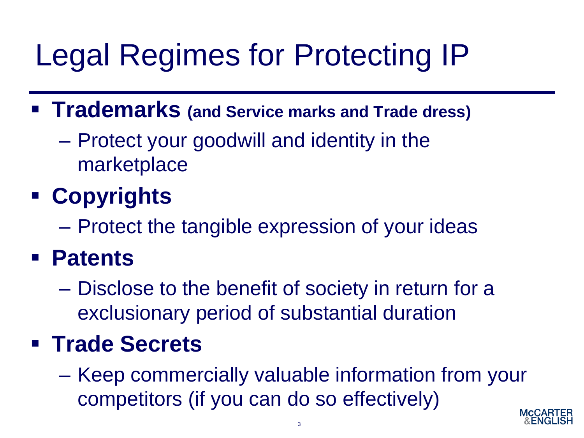# Legal Regimes for Protecting IP

- **Trademarks (and Service marks and Trade dress)**
	- Protect your goodwill and identity in the marketplace

#### ▪ **Copyrights**

– Protect the tangible expression of your ideas

#### ▪ **Patents**

– Disclose to the benefit of society in return for a exclusionary period of substantial duration

#### ▪ **Trade Secrets**

– Keep commercially valuable information from your competitors (if you can do so effectively)

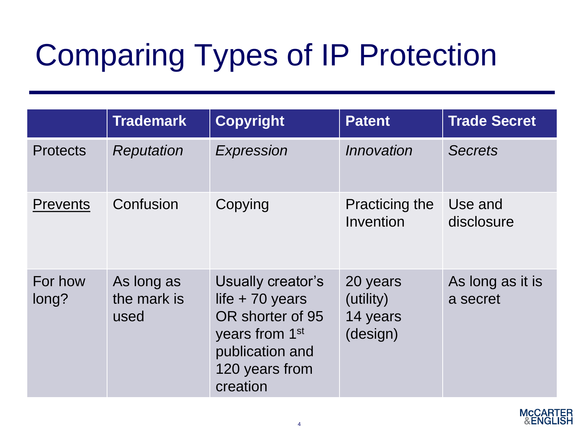# Comparing Types of IP Protection

|                  | <b>Trademark</b>                  | <b>Copyright</b>                                                                                                                         | <b>Patent</b>                                 | <b>Trade Secret</b>          |
|------------------|-----------------------------------|------------------------------------------------------------------------------------------------------------------------------------------|-----------------------------------------------|------------------------------|
| <b>Protects</b>  | Reputation                        | Expression                                                                                                                               | Innovation                                    | <b>Secrets</b>               |
| <b>Prevents</b>  | Confusion                         | Copying                                                                                                                                  | Practicing the<br>Invention                   | Use and<br>disclosure        |
| For how<br>long? | As long as<br>the mark is<br>used | Usually creator's<br>life $+70$ years<br>OR shorter of 95<br>years from 1 <sup>st</sup><br>publication and<br>120 years from<br>creation | 20 years<br>(utility)<br>14 years<br>(design) | As long as it is<br>a secret |

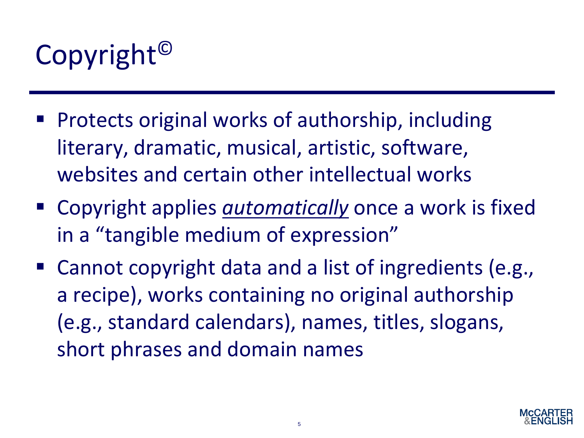

- Protects original works of authorship, including literary, dramatic, musical, artistic, software, websites and certain other intellectual works
- Copyright applies *automatically* once a work is fixed in a "tangible medium of expression"
- Cannot copyright data and a list of ingredients (e.g., a recipe), works containing no original authorship (e.g., standard calendars), names, titles, slogans, short phrases and domain names

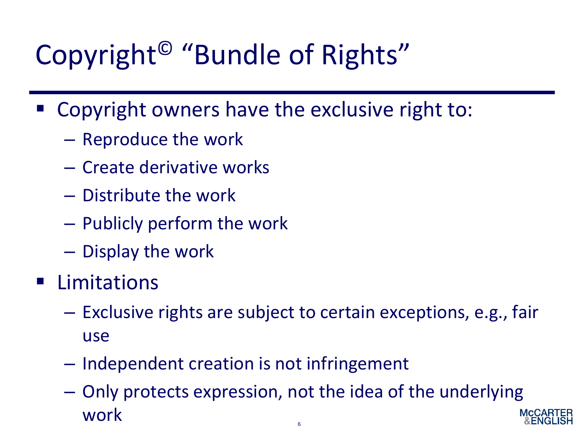### Copyright© "Bundle of Rights"

- Copyright owners have the exclusive right to:
	- Reproduce the work
	- Create derivative works
	- Distribute the work
	- Publicly perform the work
	- Display the work
- Limitations
	- Exclusive rights are subject to certain exceptions, e.g., fair use
	- Independent creation is not infringement
	- Only protects expression, not the idea of the underlying work 6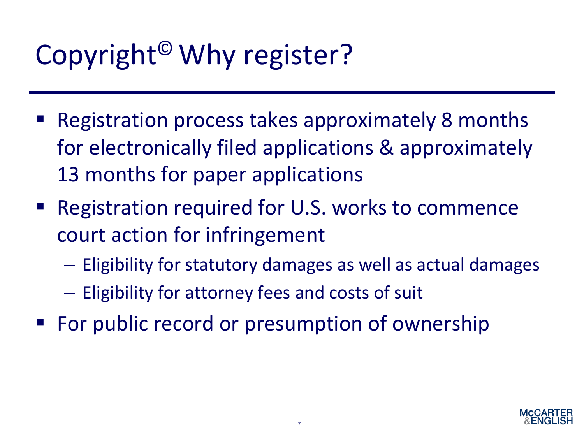### Copyright© Why register?

- Registration process takes approximately 8 months for electronically filed applications & approximately 13 months for paper applications
- Registration required for U.S. works to commence court action for infringement
	- Eligibility for statutory damages as well as actual damages
	- Eligibility for attorney fees and costs of suit
- For public record or presumption of ownership

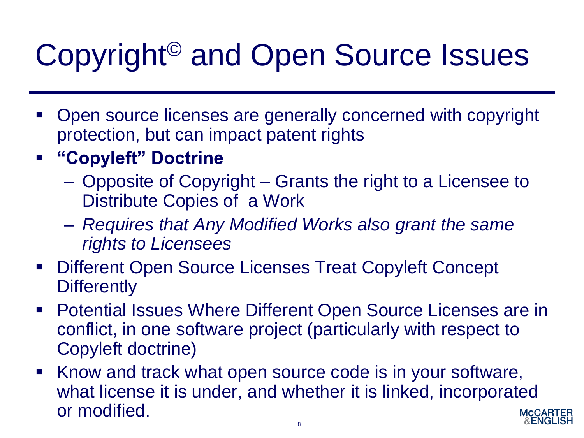# Copyright© and Open Source Issues

- Open source licenses are generally concerned with copyright protection, but can impact patent rights
- **"Copyleft" Doctrine**
	- Opposite of Copyright Grants the right to a Licensee to Distribute Copies of a Work
	- *Requires that Any Modified Works also grant the same rights to Licensees*
- Different Open Source Licenses Treat Copyleft Concept **Differently**
- Potential Issues Where Different Open Source Licenses are in conflict, in one software project (particularly with respect to Copyleft doctrine)
- Know and track what open source code is in your software, what license it is under, and whether it is linked, incorporated or modified.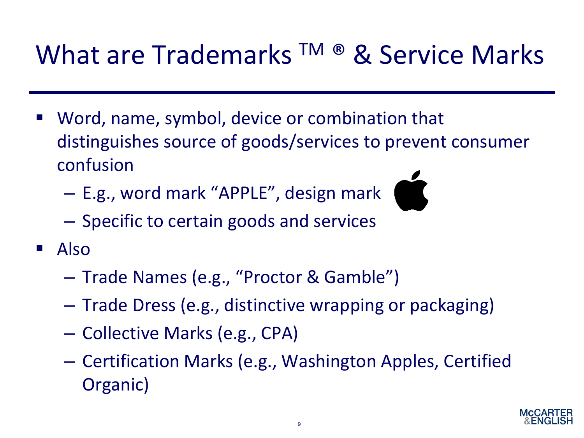#### What are Trademarks TM ® & Service Marks

- Word, name, symbol, device or combination that distinguishes source of goods/services to prevent consumer confusion
	- E.g., word mark "APPLE", design mark
	- Specific to certain goods and services
- $\blacksquare$  Also
	- Trade Names (e.g., "Proctor & Gamble")
	- Trade Dress (e.g., distinctive wrapping or packaging)
	- Collective Marks (e.g., CPA)
	- Certification Marks (e.g., Washington Apples, Certified Organic)

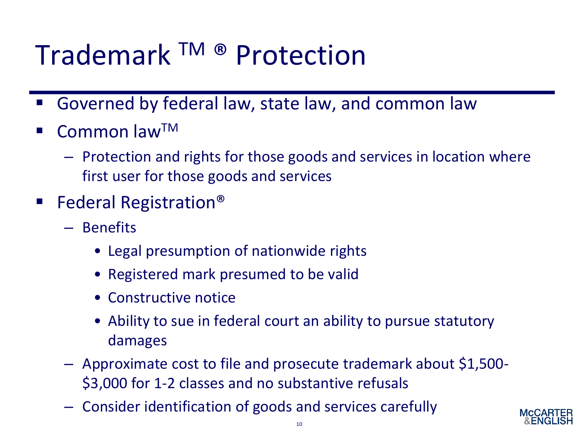#### Trademark TM ® Protection

- Governed by federal law, state law, and common law
- Common law<sup>TM</sup>
	- Protection and rights for those goods and services in location where first user for those goods and services
- Federal Registration<sup>®</sup>
	- Benefits
		- Legal presumption of nationwide rights
		- Registered mark presumed to be valid
		- Constructive notice
		- Ability to sue in federal court an ability to pursue statutory damages
	- Approximate cost to file and prosecute trademark about \$1,500- \$3,000 for 1-2 classes and no substantive refusals
	- Consider identification of goods and services carefully

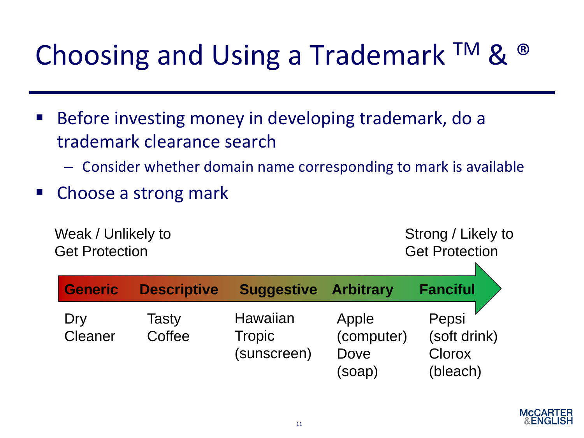#### Choosing and Using a Trademark  $TM$  &  $\bullet$

- Before investing money in developing trademark, do a trademark clearance search
	- Consider whether domain name corresponding to mark is available
- Choose a strong mark

Weak / Unlikely to Get Protection

Strong / Likely to Get Protection

N

| Generic        | <b>Descriptive</b> | <b>Suggestive</b>                        | <b>Arbitrary</b>                      | <b>Fanciful</b>                             |
|----------------|--------------------|------------------------------------------|---------------------------------------|---------------------------------------------|
| Dry<br>Cleaner | Tasty<br>Coffee    | Hawaiian<br><b>Tropic</b><br>(sunscreen) | Apple<br>(computer)<br>Dove<br>(soap) | Pepsi<br>(soft drink)<br>Clorox<br>(bleach) |

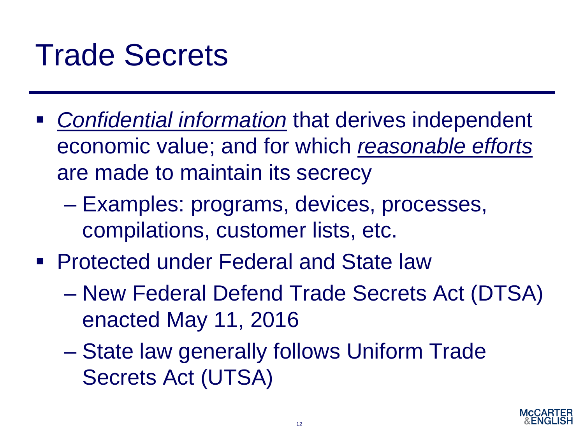### Trade Secrets

- *Confidential information* that derives independent economic value; and for which *reasonable efforts* are made to maintain its secrecy
	- Examples: programs, devices, processes, compilations, customer lists, etc.
- Protected under Federal and State law
	- New Federal Defend Trade Secrets Act (DTSA) enacted May 11, 2016
	- State law generally follows Uniform Trade Secrets Act (UTSA)

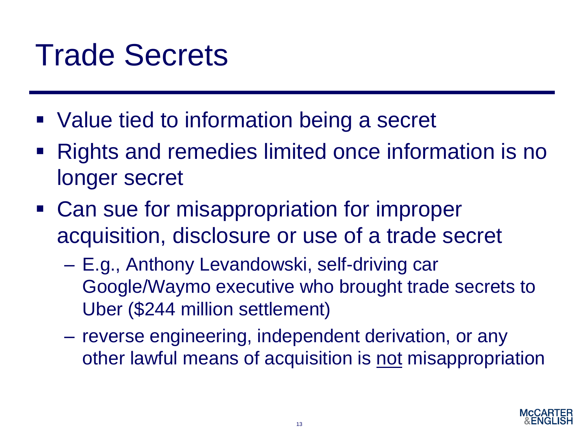### Trade Secrets

- Value tied to information being a secret
- Rights and remedies limited once information is no longer secret
- Can sue for misappropriation for improper acquisition, disclosure or use of a trade secret
	- E.g., Anthony Levandowski, self-driving car Google/Waymo executive who brought trade secrets to Uber (\$244 million settlement)
	- reverse engineering, independent derivation, or any other lawful means of acquisition is not misappropriation

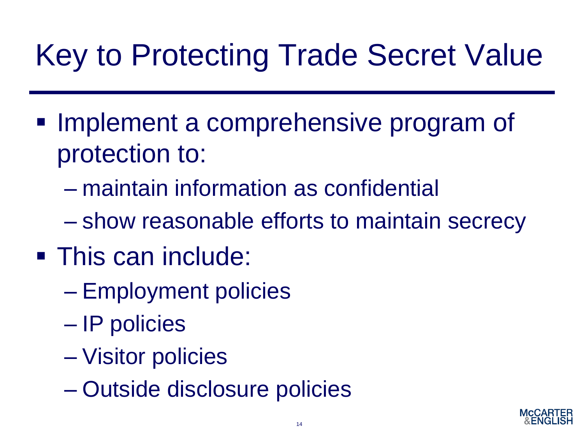# Key to Protecting Trade Secret Value

- Implement a comprehensive program of protection to:
	- maintain information as confidential
	- show reasonable efforts to maintain secrecy
- This can include:
	- Employment policies
	- IP policies
	- Visitor policies
	- Outside disclosure policies

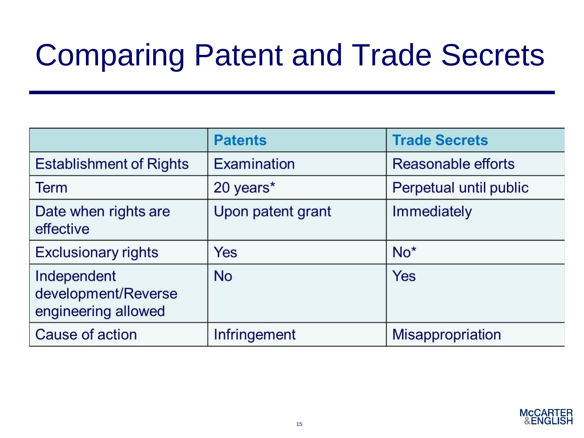# Comparing Patent and Trade Secrets

|                                                           | <b>Patents</b>    | <b>Trade Secrets</b>    |
|-----------------------------------------------------------|-------------------|-------------------------|
| <b>Establishment of Rights</b>                            | Examination       | Reasonable efforts      |
| <b>Term</b>                                               | 20 years*         | Perpetual until public  |
| Date when rights are<br>effective                         | Upon patent grant | Immediately             |
| <b>Exclusionary rights</b>                                | <b>Yes</b>        | $No*$                   |
| Independent<br>development/Reverse<br>engineering allowed | <b>No</b>         | Yes                     |
| Cause of action                                           | Infringement      | <b>Misappropriation</b> |

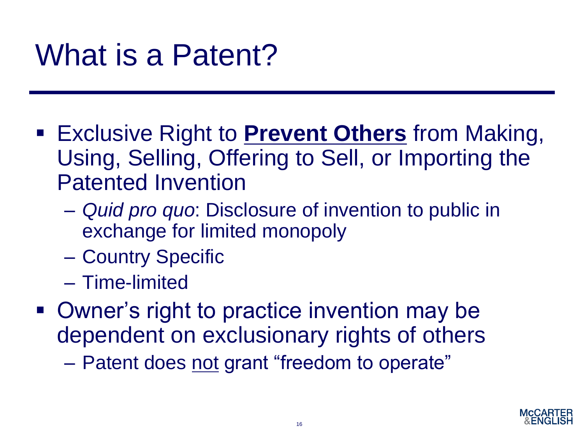## What is a Patent?

- **Exclusive Right to Prevent Others from Making,** Using, Selling, Offering to Sell, or Importing the Patented Invention
	- *Quid pro quo*: Disclosure of invention to public in exchange for limited monopoly
	- Country Specific
	- Time-limited
- Owner's right to practice invention may be dependent on exclusionary rights of others
	- Patent does not grant "freedom to operate"

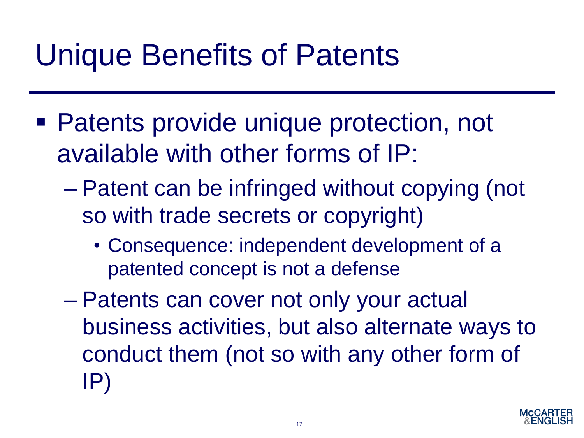### Unique Benefits of Patents

- Patents provide unique protection, not available with other forms of IP:
	- Patent can be infringed without copying (not so with trade secrets or copyright)
		- Consequence: independent development of a patented concept is not a defense
	- Patents can cover not only your actual business activities, but also alternate ways to conduct them (not so with any other form of IP)

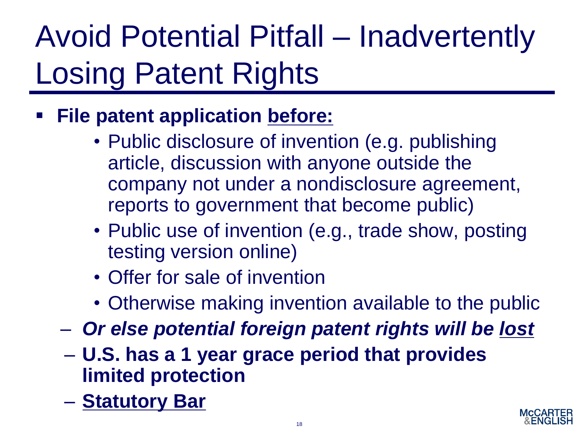# Avoid Potential Pitfall – Inadvertently Losing Patent Rights

- **File patent application before:** 
	- Public disclosure of invention (e.g. publishing article, discussion with anyone outside the company not under a nondisclosure agreement, reports to government that become public)
	- Public use of invention (e.g., trade show, posting testing version online)
	- Offer for sale of invention
	- Otherwise making invention available to the public
	- *Or else potential foreign patent rights will be lost*
	- **U.S. has a 1 year grace period that provides limited protection**
	- **Statutory Bar**

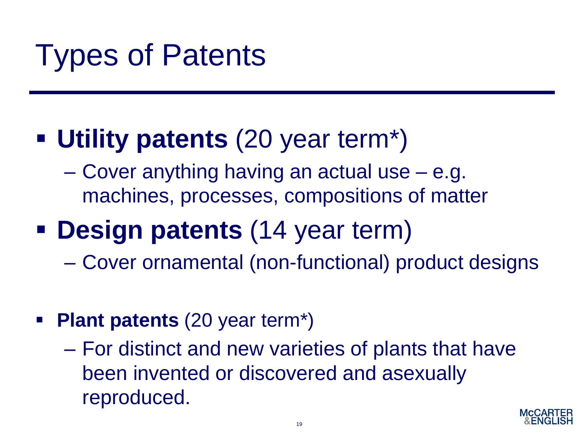# Types of Patents

#### ▪ **Utility patents** (20 year term\*)

– Cover anything having an actual use – e.g. machines, processes, compositions of matter

#### ▪ **Design patents** (14 year term)

- Cover ornamental (non-functional) product designs
- **Plant patents** (20 year term\*)
	- For distinct and new varieties of plants that have been invented or discovered and asexually reproduced.

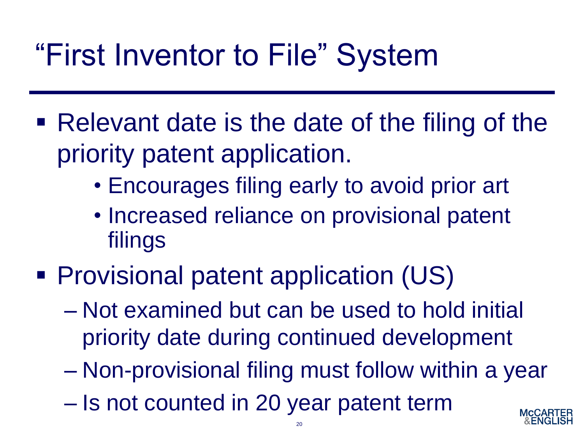## "First Inventor to File" System

- Relevant date is the date of the filing of the priority patent application.
	- Encourages filing early to avoid prior art
	- Increased reliance on provisional patent filings
- Provisional patent application (US)
	- Not examined but can be used to hold initial priority date during continued development
	- Non-provisional filing must follow within a year
	- Is not counted in 20 year patent term

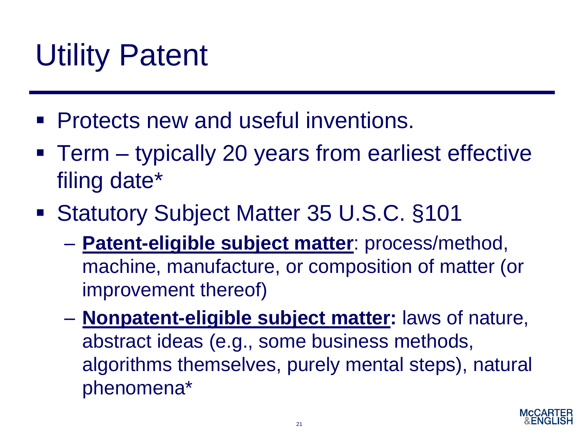# Utility Patent

- **Protects new and useful inventions.**
- Term typically 20 years from earliest effective filing date\*
- Statutory Subject Matter 35 U.S.C. §101
	- **Patent-eligible subject matter**: process/method, machine, manufacture, or composition of matter (or improvement thereof)
	- **Nonpatent-eligible subject matter:** laws of nature, abstract ideas (e.g., some business methods, algorithms themselves, purely mental steps), natural phenomena\*

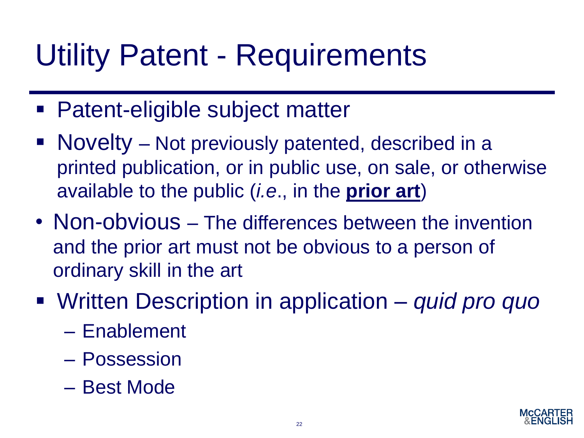## Utility Patent - Requirements

- Patent-eligible subject matter
- Novelty Not previously patented, described in a printed publication, or in public use, on sale, or otherwise available to the public (*i.e*., in the **prior art**)
- Non-obvious The differences between the invention and the prior art must not be obvious to a person of ordinary skill in the art
- Written Description in application *quid pro quo* 
	- Enablement
	- Possession
	- Best Mode

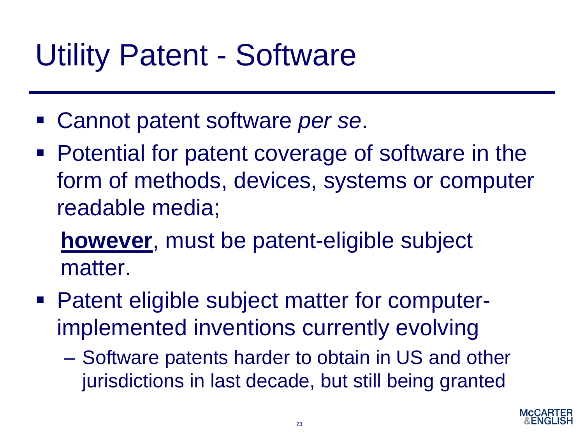### Utility Patent - Software

- Cannot patent software *per se*.
- Potential for patent coverage of software in the form of methods, devices, systems or computer readable media;

**however**, must be patent-eligible subject matter.

- Patent eligible subject matter for computerimplemented inventions currently evolving
	- Software patents harder to obtain in US and other jurisdictions in last decade, but still being granted

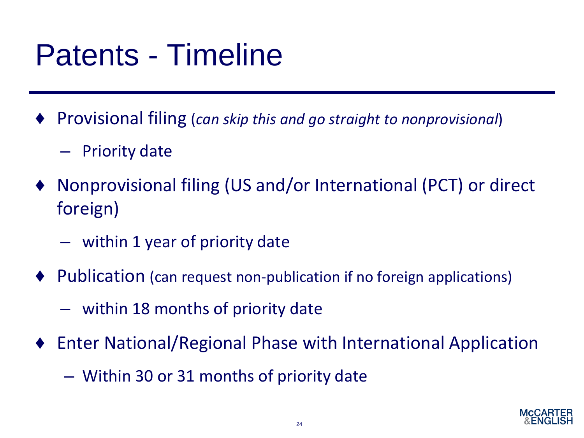### Patents - Timeline

- ♦ Provisional filing (*can skip this and go straight to nonprovisional*)
	- Priority date
- Nonprovisional filing (US and/or International (PCT) or direct foreign)
	- within 1 year of priority date
- ♦ Publication (can request non-publication if no foreign applications)
	- within 18 months of priority date
- Enter National/Regional Phase with International Application
	- Within 30 or 31 months of priority date

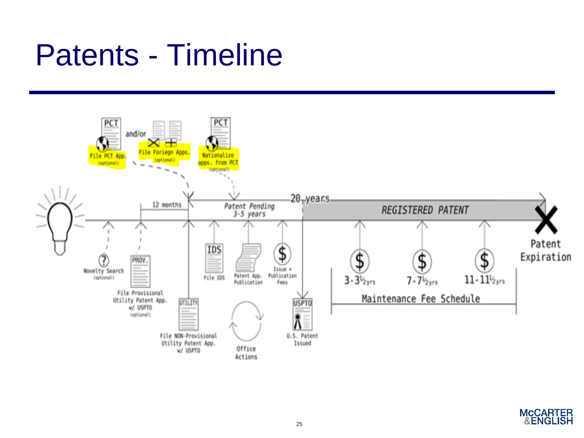### Patents - Timeline



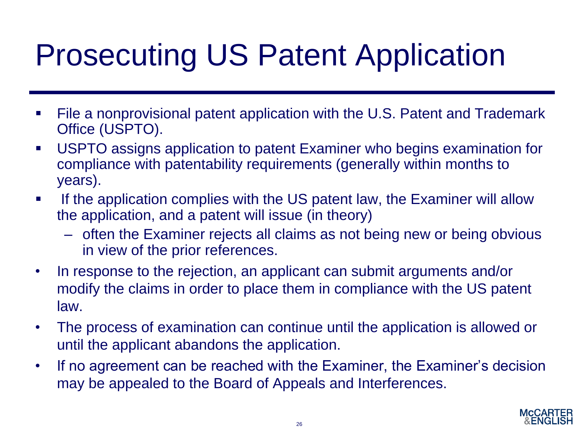# Prosecuting US Patent Application

- File a nonprovisional patent application with the U.S. Patent and Trademark Office (USPTO).
- USPTO assigns application to patent Examiner who begins examination for compliance with patentability requirements (generally within months to years).
- If the application complies with the US patent law, the Examiner will allow the application, and a patent will issue (in theory)
	- often the Examiner rejects all claims as not being new or being obvious in view of the prior references.
- In response to the rejection, an applicant can submit arguments and/or modify the claims in order to place them in compliance with the US patent law.
- The process of examination can continue until the application is allowed or until the applicant abandons the application.
- If no agreement can be reached with the Examiner, the Examiner's decision may be appealed to the Board of Appeals and Interferences.

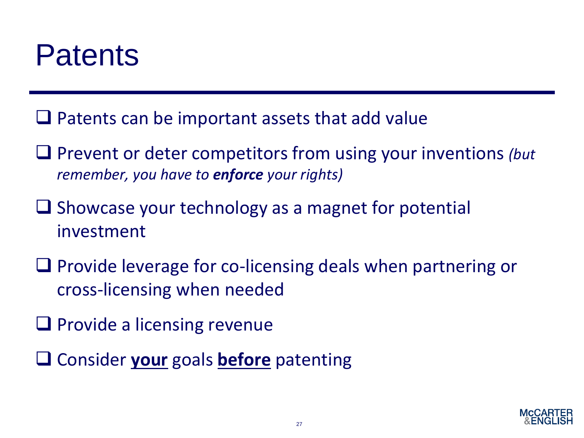#### **Patents**

- $\Box$  Patents can be important assets that add value
- ❑ Prevent or deter competitors from using your inventions *(but remember, you have to enforce your rights)*
- ❑ Showcase your technology as a magnet for potential investment
- ❑ Provide leverage for co-licensing deals when partnering or cross-licensing when needed
- ❑ Provide a licensing revenue
- ❑ Consider **your** goals **before** patenting

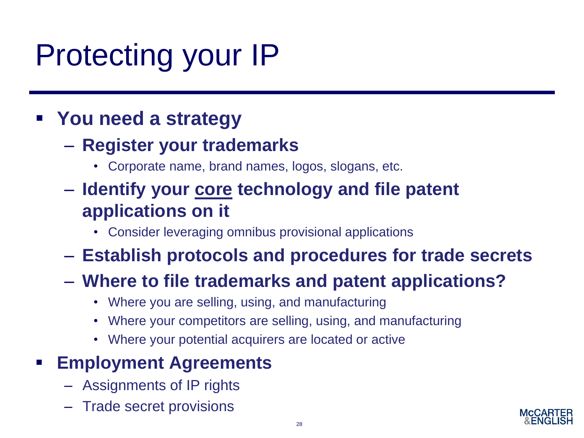# Protecting your IP

#### ▪ **You need a strategy**

- **Register your trademarks**
	- Corporate name, brand names, logos, slogans, etc.
- **Identify your core technology and file patent applications on it**
	- Consider leveraging omnibus provisional applications
- **Establish protocols and procedures for trade secrets**

#### – **Where to file trademarks and patent applications?**

- Where you are selling, using, and manufacturing
- Where your competitors are selling, using, and manufacturing
- Where your potential acquirers are located or active

#### ▪ **Employment Agreements**

- Assignments of IP rights
- Trade secret provisions

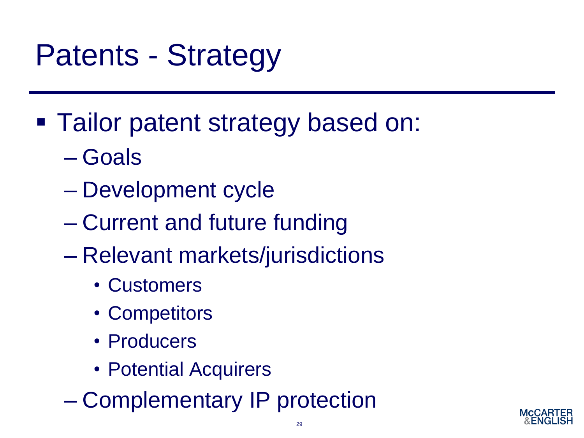# Patents - Strategy

- Tailor patent strategy based on:
	- Goals
	- Development cycle
	- Current and future funding
	- Relevant markets/jurisdictions
		- Customers
		- Competitors
		- Producers
		- Potential Acquirers
	- Complementary IP protection